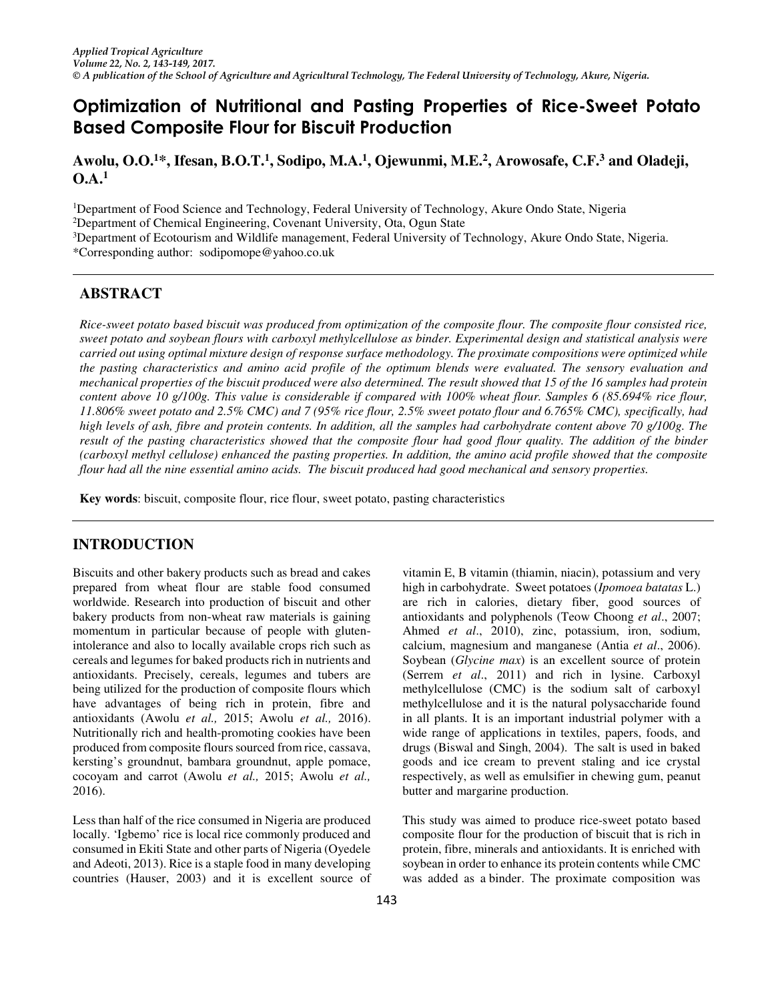# **Optimization of Nutritional and Pasting Properties of Rice-Sweet Potato Based Composite Flour for Biscuit Production**

**Awolu, O.O.<sup>1</sup>\*, Ifesan, B.O.T.<sup>1</sup> , Sodipo, M.A.<sup>1</sup> , Ojewunmi, M.E.<sup>2</sup> , Arowosafe, C.F.<sup>3</sup> and Oladeji,**   $O.A.^1$ 

<sup>1</sup>Department of Food Science and Technology, Federal University of Technology, Akure Ondo State, Nigeria

<sup>2</sup>Department of Chemical Engineering, Covenant University, Ota, Ogun State

<sup>3</sup>Department of Ecotourism and Wildlife management, Federal University of Technology, Akure Ondo State, Nigeria.

\*Corresponding author: sodipomope@yahoo.co.uk

# **ABSTRACT**

*Rice-sweet potato based biscuit was produced from optimization of the composite flour. The composite flour consisted rice, sweet potato and soybean flours with carboxyl methylcellulose as binder. Experimental design and statistical analysis were carried out using optimal mixture design of response surface methodology. The proximate compositions were optimized while the pasting characteristics and amino acid profile of the optimum blends were evaluated. The sensory evaluation and mechanical properties of the biscuit produced were also determined. The result showed that 15 of the 16 samples had protein content above 10 g/100g. This value is considerable if compared with 100% wheat flour. Samples 6 (85.694% rice flour, 11.806% sweet potato and 2.5% CMC) and 7 (95% rice flour, 2.5% sweet potato flour and 6.765% CMC), specifically, had high levels of ash, fibre and protein contents. In addition, all the samples had carbohydrate content above 70 g/100g. The result of the pasting characteristics showed that the composite flour had good flour quality. The addition of the binder (carboxyl methyl cellulose) enhanced the pasting properties. In addition, the amino acid profile showed that the composite flour had all the nine essential amino acids. The biscuit produced had good mechanical and sensory properties.* 

**Key words**: biscuit, composite flour, rice flour, sweet potato, pasting characteristics

# **INTRODUCTION**

Biscuits and other bakery products such as bread and cakes prepared from wheat flour are stable food consumed worldwide. Research into production of biscuit and other bakery products from non-wheat raw materials is gaining momentum in particular because of people with glutenintolerance and also to locally available crops rich such as cereals and legumes for baked products rich in nutrients and antioxidants. Precisely, cereals, legumes and tubers are being utilized for the production of composite flours which have advantages of being rich in protein, fibre and antioxidants (Awolu *et al.,* 2015; Awolu *et al.,* 2016). Nutritionally rich and health-promoting cookies have been produced from composite flours sourced from rice, cassava, kersting's groundnut, bambara groundnut, apple pomace, cocoyam and carrot (Awolu *et al.,* 2015; Awolu *et al.,* 2016).

Less than half of the rice consumed in Nigeria are produced locally. 'Igbemo' rice is local rice commonly produced and consumed in Ekiti State and other parts of Nigeria (Oyedele and Adeoti, 2013). Rice is a staple food in many developing countries (Hauser, 2003) and it is excellent source of vitamin E, B vitamin (thiamin, niacin), potassium and very high in carbohydrate. Sweet potatoes (*Ipomoea batatas* L.) are rich in calories, dietary fiber, good sources of antioxidants and polyphenols (Teow Choong *et al*., 2007; Ahmed *et al*., 2010), zinc, potassium, iron, sodium, calcium, magnesium and manganese (Antia *et al*., 2006). Soybean (*Glycine max*) is an excellent source of protein (Serrem *et al*., 2011) and rich in lysine. Carboxyl methylcellulose (CMC) is the sodium salt of carboxyl methylcellulose and it is the natural polysaccharide found in all plants. It is an important industrial polymer with a wide range of applications in textiles, papers, foods, and drugs (Biswal and Singh, 2004). The salt is used in baked goods and ice cream to prevent staling and ice crystal respectively, as well as emulsifier in chewing gum, peanut butter and margarine production.

This study was aimed to produce rice-sweet potato based composite flour for the production of biscuit that is rich in protein, fibre, minerals and antioxidants. It is enriched with soybean in order to enhance its protein contents while CMC was added as a binder. The proximate composition was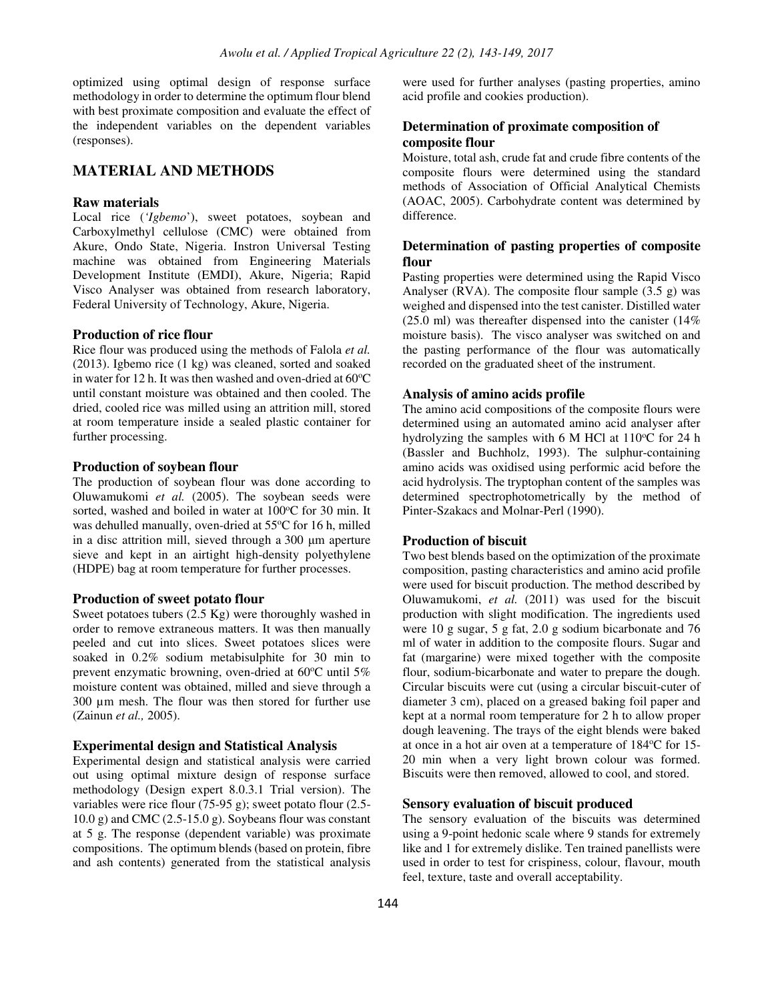optimized using optimal design of response surface methodology in order to determine the optimum flour blend with best proximate composition and evaluate the effect of the independent variables on the dependent variables (responses).

# **MATERIAL AND METHODS**

### **Raw materials**

Local rice (*'Igbemo*'), sweet potatoes, soybean and Carboxylmethyl cellulose (CMC) were obtained from Akure, Ondo State, Nigeria. Instron Universal Testing machine was obtained from Engineering Materials Development Institute (EMDI), Akure, Nigeria; Rapid Visco Analyser was obtained from research laboratory, Federal University of Technology, Akure, Nigeria.

### **Production of rice flour**

Rice flour was produced using the methods of Falola *et al.* (2013). Igbemo rice (1 kg) was cleaned, sorted and soaked in water for 12 h. It was then washed and oven-dried at  $60^{\circ}$ C until constant moisture was obtained and then cooled. The dried, cooled rice was milled using an attrition mill, stored at room temperature inside a sealed plastic container for further processing.

#### **Production of soybean flour**

The production of soybean flour was done according to Oluwamukomi *et al.* (2005). The soybean seeds were sorted, washed and boiled in water at  $100^{\circ}$ C for 30 min. It was dehulled manually, oven-dried at 55°C for 16 h, milled in a disc attrition mill, sieved through a 300 μm aperture sieve and kept in an airtight high-density polyethylene (HDPE) bag at room temperature for further processes.

#### **Production of sweet potato flour**

Sweet potatoes tubers (2.5 Kg) were thoroughly washed in order to remove extraneous matters. It was then manually peeled and cut into slices. Sweet potatoes slices were soaked in 0.2% sodium metabisulphite for 30 min to prevent enzymatic browning, oven-dried at  $60^{\circ}$ C until  $5\%$ moisture content was obtained, milled and sieve through a 300 µm mesh. The flour was then stored for further use (Zainun *et al.,* 2005).

### **Experimental design and Statistical Analysis**

Experimental design and statistical analysis were carried out using optimal mixture design of response surface methodology (Design expert 8.0.3.1 Trial version). The variables were rice flour (75-95 g); sweet potato flour (2.5-  $10.0 \text{ g}$ ) and CMC (2.5-15.0 g). Soybeans flour was constant at 5 g. The response (dependent variable) was proximate compositions. The optimum blends (based on protein, fibre and ash contents) generated from the statistical analysis

were used for further analyses (pasting properties, amino acid profile and cookies production).

## **Determination of proximate composition of composite flour**

Moisture, total ash, crude fat and crude fibre contents of the composite flours were determined using the standard methods of Association of Official Analytical Chemists (AOAC, 2005). Carbohydrate content was determined by difference.

# **Determination of pasting properties of composite flour**

Pasting properties were determined using the Rapid Visco Analyser (RVA). The composite flour sample (3.5 g) was weighed and dispensed into the test canister. Distilled water  $(25.0 \text{ ml})$  was thereafter dispensed into the canister  $(14\%$ moisture basis). The visco analyser was switched on and the pasting performance of the flour was automatically recorded on the graduated sheet of the instrument.

### **Analysis of amino acids profile**

The amino acid compositions of the composite flours were determined using an automated amino acid analyser after hydrolyzing the samples with 6 M HCl at  $110^{\circ}$ C for 24 h (Bassler and Buchholz, 1993). The sulphur-containing amino acids was oxidised using performic acid before the acid hydrolysis. The tryptophan content of the samples was determined spectrophotometrically by the method of Pinter-Szakacs and Molnar-Perl (1990).

# **Production of biscuit**

Two best blends based on the optimization of the proximate composition, pasting characteristics and amino acid profile were used for biscuit production. The method described by Oluwamukomi, *et al.* (2011) was used for the biscuit production with slight modification. The ingredients used were 10 g sugar, 5 g fat, 2.0 g sodium bicarbonate and 76 ml of water in addition to the composite flours. Sugar and fat (margarine) were mixed together with the composite flour, sodium-bicarbonate and water to prepare the dough. Circular biscuits were cut (using a circular biscuit-cuter of diameter 3 cm), placed on a greased baking foil paper and kept at a normal room temperature for 2 h to allow proper dough leavening. The trays of the eight blends were baked at once in a hot air oven at a temperature of 184°C for 15-20 min when a very light brown colour was formed. Biscuits were then removed, allowed to cool, and stored.

#### **Sensory evaluation of biscuit produced**

The sensory evaluation of the biscuits was determined using a 9-point hedonic scale where 9 stands for extremely like and 1 for extremely dislike. Ten trained panellists were used in order to test for crispiness, colour, flavour, mouth feel, texture, taste and overall acceptability.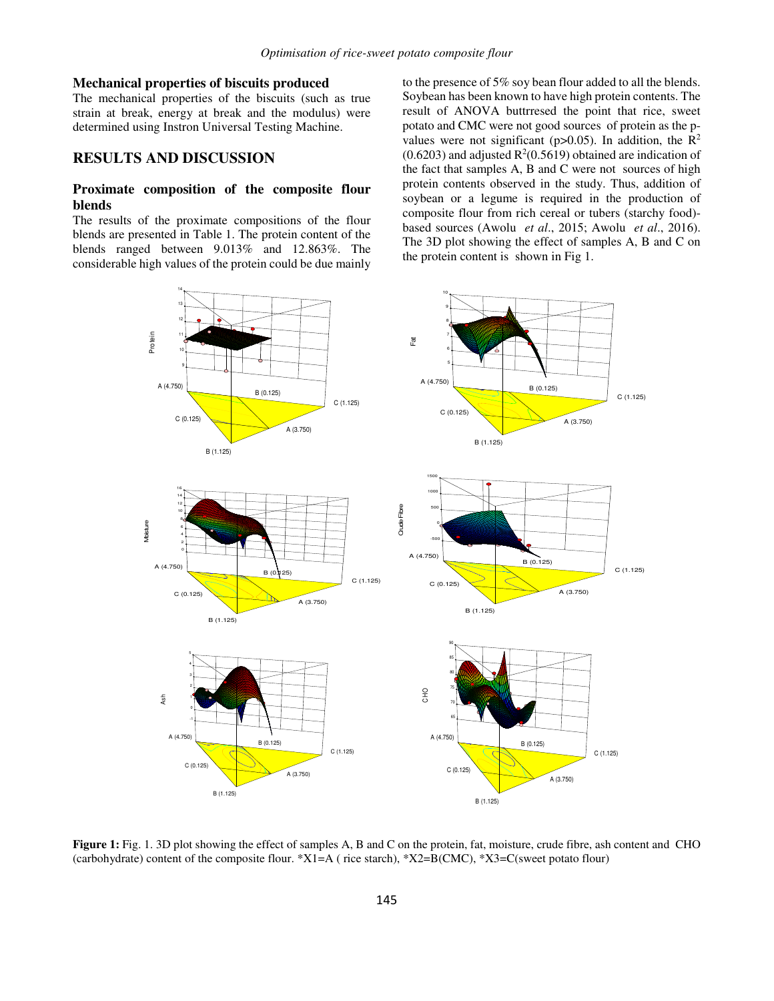### **Mechanical properties of biscuits produced**

The mechanical properties of the biscuits (such as true strain at break, energy at break and the modulus) were determined using Instron Universal Testing Machine.

#### **RESULTS AND DISCUSSION**

# **Proximate composition of the composite flour blends**

The results of the proximate compositions of the flour blends are presented in Table 1. The protein content of the blends ranged between 9.013% and 12.863%. The considerable high values of the protein could be due mainly to the presence of 5% soy bean flour added to all the blends. Soybean has been known to have high protein contents. The result of ANOVA buttrresed the point that rice, sweet potato and CMC were not good sources of protein as the pvalues were not significant (p>0.05). In addition, the  $R^2$  $(0.6203)$  and adjusted R<sup>2</sup> $(0.5619)$  obtained are indication of the fact that samples A, B and C were not sources of high protein contents observed in the study. Thus, addition of soybean or a legume is required in the production of composite flour from rich cereal or tubers (starchy food) based sources (Awolu *et al*., 2015; Awolu *et al*., 2016). The 3D plot showing the effect of samples A, B and C on the protein content is shown in Fig 1.



**Figure 1:** Fig. 1. 3D plot showing the effect of samples A, B and C on the protein, fat, moisture, crude fibre, ash content and CHO (carbohydrate) content of the composite flour. \*X1=A ( rice starch), \*X2=B(CMC), \*X3=C(sweet potato flour)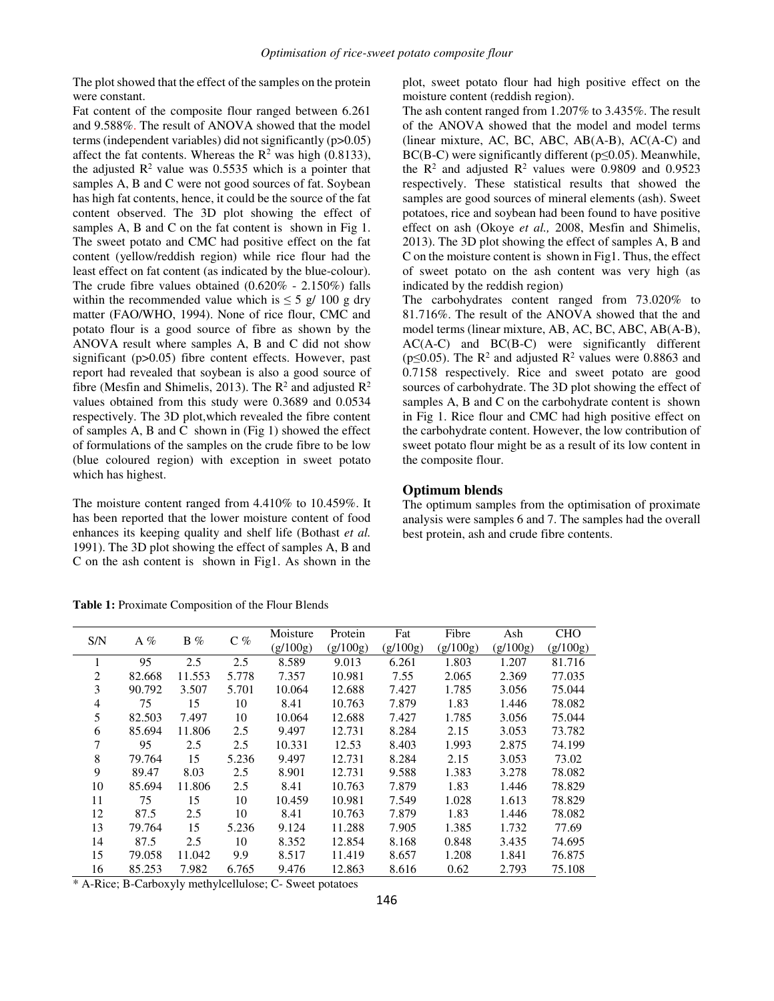The plot showed that the effect of the samples on the protein were constant.

Fat content of the composite flour ranged between 6.261 and 9.588%. The result of ANOVA showed that the model terms (independent variables) did not significantly (p>0.05) affect the fat contents. Whereas the  $R^2$  was high (0.8133), the adjusted  $\mathbb{R}^2$  value was 0.5535 which is a pointer that samples A, B and C were not good sources of fat. Soybean has high fat contents, hence, it could be the source of the fat content observed. The 3D plot showing the effect of samples A, B and C on the fat content is shown in Fig 1. The sweet potato and CMC had positive effect on the fat content (yellow/reddish region) while rice flour had the least effect on fat content (as indicated by the blue-colour). The crude fibre values obtained (0.620% - 2.150%) falls within the recommended value which is  $\leq 5$  g/ 100 g dry matter (FAO/WHO, 1994). None of rice flour, CMC and potato flour is a good source of fibre as shown by the ANOVA result where samples A, B and C did not show significant (p>0.05) fibre content effects. However, past report had revealed that soybean is also a good source of fibre (Mesfin and Shimelis, 2013). The  $\mathbb{R}^2$  and adjusted  $\mathbb{R}^2$ values obtained from this study were 0.3689 and 0.0534 respectively. The 3D plot,which revealed the fibre content of samples A, B and C shown in (Fig 1) showed the effect of formulations of the samples on the crude fibre to be low (blue coloured region) with exception in sweet potato which has highest.

The moisture content ranged from 4.410% to 10.459%. It has been reported that the lower moisture content of food enhances its keeping quality and shelf life (Bothast *et al.*  1991). The 3D plot showing the effect of samples A, B and C on the ash content is shown in Fig1. As shown in the

**Table 1:** Proximate Composition of the Flour Blends

plot, sweet potato flour had high positive effect on the moisture content (reddish region).

The ash content ranged from 1.207% to 3.435%. The result of the ANOVA showed that the model and model terms (linear mixture, AC, BC, ABC, AB(A-B), AC(A-C) and BC(B-C) were significantly different ( $p \le 0.05$ ). Meanwhile, the  $\mathbb{R}^2$  and adjusted  $\mathbb{R}^2$  values were 0.9809 and 0.9523 respectively. These statistical results that showed the samples are good sources of mineral elements (ash). Sweet potatoes, rice and soybean had been found to have positive effect on ash (Okoye *et al.,* 2008, Mesfin and Shimelis, 2013). The 3D plot showing the effect of samples A, B and C on the moisture content is shown in Fig1. Thus, the effect of sweet potato on the ash content was very high (as indicated by the reddish region)

The carbohydrates content ranged from 73.020% to 81.716%. The result of the ANOVA showed that the and model terms (linear mixture, AB, AC, BC, ABC, AB(A-B), AC(A-C) and BC(B-C) were significantly different ( $p \le 0.05$ ). The R<sup>2</sup> and adjusted R<sup>2</sup> values were 0.8863 and 0.7158 respectively. Rice and sweet potato are good sources of carbohydrate. The 3D plot showing the effect of samples A, B and C on the carbohydrate content is shown in Fig 1. Rice flour and CMC had high positive effect on the carbohydrate content. However, the low contribution of sweet potato flour might be as a result of its low content in the composite flour.

#### **Optimum blends**

The optimum samples from the optimisation of proximate analysis were samples 6 and 7. The samples had the overall best protein, ash and crude fibre contents.

| S/N            | A $%$  | $B\%$  | $C\%$ | Moisture | Protein  | Fat      | Fibre    | Ash      | <b>CHO</b> |
|----------------|--------|--------|-------|----------|----------|----------|----------|----------|------------|
|                |        |        |       | (g/100g) | (g/100g) | (g/100g) | (g/100g) | (g/100g) | (g/100g)   |
| 1              | 95     | 2.5    | 2.5   | 8.589    | 9.013    | 6.261    | 1.803    | 1.207    | 81.716     |
| $\overline{2}$ | 82.668 | 11.553 | 5.778 | 7.357    | 10.981   | 7.55     | 2.065    | 2.369    | 77.035     |
| 3              | 90.792 | 3.507  | 5.701 | 10.064   | 12.688   | 7.427    | 1.785    | 3.056    | 75.044     |
| 4              | 75     | 15     | 10    | 8.41     | 10.763   | 7.879    | 1.83     | 1.446    | 78.082     |
| 5              | 82.503 | 7.497  | 10    | 10.064   | 12.688   | 7.427    | 1.785    | 3.056    | 75.044     |
| 6              | 85.694 | 11.806 | 2.5   | 9.497    | 12.731   | 8.284    | 2.15     | 3.053    | 73.782     |
|                | 95     | 2.5    | 2.5   | 10.331   | 12.53    | 8.403    | 1.993    | 2.875    | 74.199     |
| 8              | 79.764 | 15     | 5.236 | 9.497    | 12.731   | 8.284    | 2.15     | 3.053    | 73.02      |
| 9              | 89.47  | 8.03   | 2.5   | 8.901    | 12.731   | 9.588    | 1.383    | 3.278    | 78.082     |
| 10             | 85.694 | 11.806 | 2.5   | 8.41     | 10.763   | 7.879    | 1.83     | 1.446    | 78.829     |
| 11             | 75     | 15     | 10    | 10.459   | 10.981   | 7.549    | 1.028    | 1.613    | 78.829     |
| 12             | 87.5   | 2.5    | 10    | 8.41     | 10.763   | 7.879    | 1.83     | 1.446    | 78.082     |
| 13             | 79.764 | 15     | 5.236 | 9.124    | 11.288   | 7.905    | 1.385    | 1.732    | 77.69      |
| 14             | 87.5   | 2.5    | 10    | 8.352    | 12.854   | 8.168    | 0.848    | 3.435    | 74.695     |
| 15             | 79.058 | 11.042 | 9.9   | 8.517    | 11.419   | 8.657    | 1.208    | 1.841    | 76.875     |
| 16             | 85.253 | 7.982  | 6.765 | 9.476    | 12.863   | 8.616    | 0.62     | 2.793    | 75.108     |

\* A-Rice; B-Carboxyly methylcellulose; C- Sweet potatoes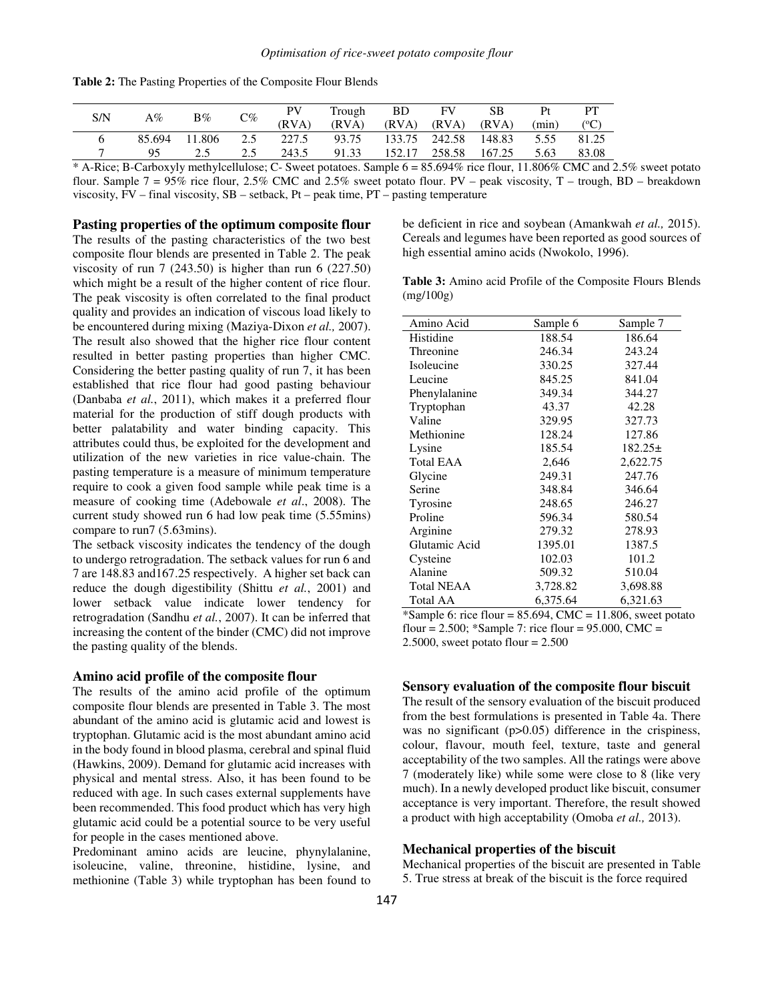| S/N | $A\%$  | $B\%$  | $C\%$ | PV        | Trough | BD.   | FV.                  | SВ    | Pt    | PT            |
|-----|--------|--------|-------|-----------|--------|-------|----------------------|-------|-------|---------------|
|     |        |        |       | (RVA)     | (RVA)  | (RVA) | (RVA)                | (RVA) | (min) | $(^{\circ}C)$ |
|     | 85.694 | 11.806 |       | 2.5 227.5 | 93.75  |       | 133.75 242.58 148.83 |       | 5.55  | 81.25         |
|     | 95     |        | 2.5   | 243.5     | 91.33  |       | 152.17 258.58 167.25 |       | 5.63  | 83.08         |

**Table 2:** The Pasting Properties of the Composite Flour Blends

\* A-Rice; B-Carboxyly methylcellulose; C- Sweet potatoes. Sample 6 = 85.694% rice flour, 11.806% CMC and 2.5% sweet potato flour. Sample  $7 = 95\%$  rice flour, 2.5% CMC and 2.5% sweet potato flour. PV – peak viscosity, T – trough, BD – breakdown viscosity, FV – final viscosity, SB – setback, Pt – peak time, PT – pasting temperature

**Pasting properties of the optimum composite flour**

The results of the pasting characteristics of the two best composite flour blends are presented in Table 2. The peak viscosity of run 7 (243.50) is higher than run 6 (227.50) which might be a result of the higher content of rice flour. The peak viscosity is often correlated to the final product quality and provides an indication of viscous load likely to be encountered during mixing (Maziya-Dixon *et al.,* 2007). The result also showed that the higher rice flour content resulted in better pasting properties than higher CMC. Considering the better pasting quality of run 7, it has been established that rice flour had good pasting behaviour (Danbaba *et al.*, 2011), which makes it a preferred flour material for the production of stiff dough products with better palatability and water binding capacity. This attributes could thus, be exploited for the development and utilization of the new varieties in rice value-chain. The pasting temperature is a measure of minimum temperature require to cook a given food sample while peak time is a measure of cooking time (Adebowale *et al*., 2008). The current study showed run 6 had low peak time (5.55mins) compare to run7 (5.63mins).

The setback viscosity indicates the tendency of the dough to undergo retrogradation. The setback values for run 6 and 7 are 148.83 and167.25 respectively. A higher set back can reduce the dough digestibility (Shittu *et al.*, 2001) and lower setback value indicate lower tendency for retrogradation (Sandhu *et al.*, 2007). It can be inferred that increasing the content of the binder (CMC) did not improve the pasting quality of the blends.

#### **Amino acid profile of the composite flour**

The results of the amino acid profile of the optimum composite flour blends are presented in Table 3. The most abundant of the amino acid is glutamic acid and lowest is tryptophan. Glutamic acid is the most abundant amino acid in the body found in blood plasma, cerebral and spinal fluid (Hawkins, 2009). Demand for glutamic acid increases with physical and mental stress. Also, it has been found to be reduced with age. In such cases external supplements have been recommended. This food product which has very high glutamic acid could be a potential source to be very useful for people in the cases mentioned above.

Predominant amino acids are leucine, phynylalanine, isoleucine, valine, threonine, histidine, lysine, and methionine (Table 3) while tryptophan has been found to be deficient in rice and soybean (Amankwah *et al.,* 2015). Cereals and legumes have been reported as good sources of high essential amino acids (Nwokolo, 1996).

**Table 3:** Amino acid Profile of the Composite Flours Blends (mg/100g)

| Amino Acid        | Sample 6 | Sample 7     |  |
|-------------------|----------|--------------|--|
| Histidine         | 188.54   | 186.64       |  |
| Threonine         | 246.34   | 243.24       |  |
| Isoleucine        | 330.25   | 327.44       |  |
| Leucine           | 845.25   | 841.04       |  |
| Phenylalanine     | 349.34   | 344.27       |  |
| Tryptophan        | 43.37    | 42.28        |  |
| Valine            | 329.95   | 327.73       |  |
| Methionine        | 128.24   | 127.86       |  |
| Lysine            | 185.54   | $182.25 \pm$ |  |
| <b>Total EAA</b>  | 2,646    | 2,622.75     |  |
| Glycine           | 249.31   | 247.76       |  |
| Serine            | 348.84   | 346.64       |  |
| Tyrosine          | 248.65   | 246.27       |  |
| Proline           | 596.34   | 580.54       |  |
| Arginine          | 279.32   | 278.93       |  |
| Glutamic Acid     | 1395.01  | 1387.5       |  |
| Cysteine          | 102.03   | 101.2        |  |
| Alanine           | 509.32   | 510.04       |  |
| <b>Total NEAA</b> | 3,728.82 | 3,698.88     |  |
| Total AA          | 6,375.64 | 6,321.63     |  |

\*Sample 6: rice flour =  $85.694$ , CMC = 11.806, sweet potato flour =  $2.500$ ; \*Sample 7: rice flour =  $95.000$ , CMC = 2.5000, sweet potato flour =  $2.500$ 

## **Sensory evaluation of the composite flour biscuit**

The result of the sensory evaluation of the biscuit produced from the best formulations is presented in Table 4a. There was no significant (p>0.05) difference in the crispiness, colour, flavour, mouth feel, texture, taste and general acceptability of the two samples. All the ratings were above 7 (moderately like) while some were close to 8 (like very much). In a newly developed product like biscuit, consumer acceptance is very important. Therefore, the result showed a product with high acceptability (Omoba *et al.,* 2013).

### **Mechanical properties of the biscuit**

Mechanical properties of the biscuit are presented in Table 5. True stress at break of the biscuit is the force required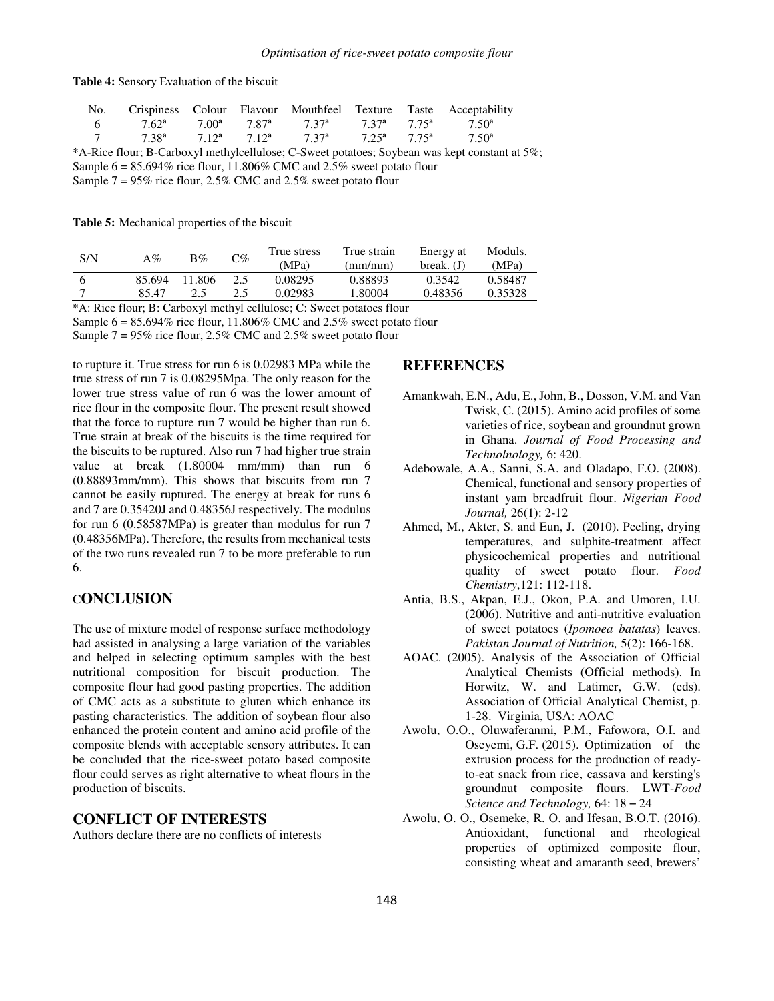| No.       | <b>Crispiness</b> |                |             | Colour Flavour Mouthfeel | Texture        |                   | Taste Acceptability |
|-----------|-------------------|----------------|-------------|--------------------------|----------------|-------------------|---------------------|
|           | $7.62^a$          | $7.00^{\rm a}$ | 7 87ª       | 7.37 <sup>a</sup>        | 7 37a          | 7.75 <sup>a</sup> | $7.50^{\rm a}$      |
|           | 7.38 <sup>a</sup> | $7.12^a$       | $712^a$     | 7.37 <sup>a</sup>        | $7.25^{\rm a}$ | 7.75 <sup>a</sup> | $7.50^{\rm a}$      |
| .<br>____ |                   |                | _ _ _ _ _ _ |                          |                |                   |                     |

\*A-Rice flour; B-Carboxyl methylcellulose; C-Sweet potatoes; Soybean was kept constant at 5%; Sample  $6 = 85.694\%$  rice flour, 11.806% CMC and 2.5% sweet potato flour

Sample 7 = 95% rice flour, 2.5% CMC and 2.5% sweet potato flour

**Table 5:** Mechanical properties of the biscuit

| S/N | A%     | $B\%$  | C%  | True stress<br>(MPa) | True strain<br>(mm/mm) | Energy at<br>break. $(J)$ | Moduls.<br>(MPa) |
|-----|--------|--------|-----|----------------------|------------------------|---------------------------|------------------|
|     | 85.694 | 11.806 | 2.5 | 0.08295              | 0.88893                | 0.3542                    | 0.58487          |
|     | 85.47  |        |     | 0.02983              | 1.80004                | 0.48356                   | 0.35328          |

\*A: Rice flour; B: Carboxyl methyl cellulose; C: Sweet potatoes flour

Sample  $6 = 85.694\%$  rice flour, 11.806% CMC and 2.5% sweet potato flour

Sample 7 = 95% rice flour, 2.5% CMC and 2.5% sweet potato flour

to rupture it. True stress for run 6 is 0.02983 MPa while the true stress of run 7 is 0.08295Mpa. The only reason for the lower true stress value of run 6 was the lower amount of rice flour in the composite flour. The present result showed that the force to rupture run 7 would be higher than run 6. True strain at break of the biscuits is the time required for the biscuits to be ruptured. Also run 7 had higher true strain value at break (1.80004 mm/mm) than run 6 (0.88893mm/mm). This shows that biscuits from run 7 cannot be easily ruptured. The energy at break for runs 6 and 7 are 0.35420J and 0.48356J respectively. The modulus for run 6 (0.58587MPa) is greater than modulus for run 7 (0.48356MPa). Therefore, the results from mechanical tests of the two runs revealed run 7 to be more preferable to run 6.

# C**ONCLUSION**

The use of mixture model of response surface methodology had assisted in analysing a large variation of the variables and helped in selecting optimum samples with the best nutritional composition for biscuit production. The composite flour had good pasting properties. The addition of CMC acts as a substitute to gluten which enhance its pasting characteristics. The addition of soybean flour also enhanced the protein content and amino acid profile of the composite blends with acceptable sensory attributes. It can be concluded that the rice-sweet potato based composite flour could serves as right alternative to wheat flours in the production of biscuits.

# **CONFLICT OF INTERESTS**

Authors declare there are no conflicts of interests

### **REFERENCES**

- Amankwah, E.N., Adu, E., John, B., Dosson, V.M. and Van Twisk, C. (2015). Amino acid profiles of some varieties of rice, soybean and groundnut grown in Ghana. *Journal of Food Processing and Technolnology,* 6: 420.
- Adebowale, A.A., Sanni, S.A. and Oladapo, F.O. (2008). Chemical, functional and sensory properties of instant yam breadfruit flour. *Nigerian Food Journal,* 26(1): 2-12
- Ahmed, M., Akter, S. and Eun, J. (2010). Peeling, drying temperatures, and sulphite-treatment affect physicochemical properties and nutritional quality of sweet potato flour. *Food Chemistry*,121: 112-118.
- Antia, B.S., Akpan, E.J., Okon, P.A. and Umoren, I.U. (2006). Nutritive and anti-nutritive evaluation of sweet potatoes (*Ipomoea batatas*) leaves. *Pakistan Journal of Nutrition,* 5(2): 166-168.
- AOAC. (2005). Analysis of the Association of Official Analytical Chemists (Official methods). In Horwitz, W. and Latimer, G.W. (eds). Association of Official Analytical Chemist, p. 1-28. Virginia, USA: AOAC
- Awolu, O.O., Oluwaferanmi, P.M., Fafowora, O.I. and Oseyemi, G.F. (2015). Optimization of the extrusion process for the production of readyto-eat snack from rice, cassava and kersting's groundnut composite flours. LWT-*Food Science and Technology,* 64: 18 – 24
- Awolu, O. O., Osemeke, R. O. and Ifesan, B.O.T. (2016). Antioxidant, functional and rheological properties of optimized composite flour, consisting wheat and amaranth seed, brewers'